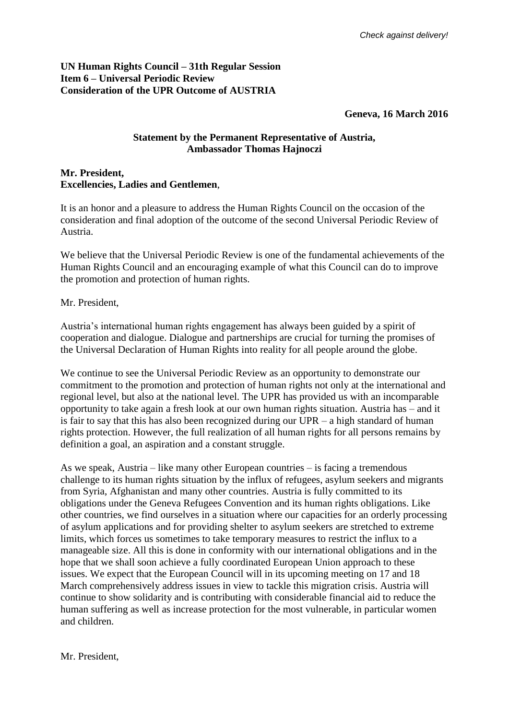## **UN Human Rights Council – 31th Regular Session Item 6 – Universal Periodic Review Consideration of the UPR Outcome of AUSTRIA**

## **Geneva, 16 March 2016**

## **Statement by the Permanent Representative of Austria, Ambassador Thomas Hajnoczi**

## **Mr. President, Excellencies, Ladies and Gentlemen**,

It is an honor and a pleasure to address the Human Rights Council on the occasion of the consideration and final adoption of the outcome of the second Universal Periodic Review of Austria.

We believe that the Universal Periodic Review is one of the fundamental achievements of the Human Rights Council and an encouraging example of what this Council can do to improve the promotion and protection of human rights.

Mr. President,

Austria's international human rights engagement has always been guided by a spirit of cooperation and dialogue. Dialogue and partnerships are crucial for turning the promises of the Universal Declaration of Human Rights into reality for all people around the globe.

We continue to see the Universal Periodic Review as an opportunity to demonstrate our commitment to the promotion and protection of human rights not only at the international and regional level, but also at the national level. The UPR has provided us with an incomparable opportunity to take again a fresh look at our own human rights situation. Austria has – and it is fair to say that this has also been recognized during our UPR – a high standard of human rights protection. However, the full realization of all human rights for all persons remains by definition a goal, an aspiration and a constant struggle.

As we speak, Austria – like many other European countries – is facing a tremendous challenge to its human rights situation by the influx of refugees, asylum seekers and migrants from Syria, Afghanistan and many other countries. Austria is fully committed to its obligations under the Geneva Refugees Convention and its human rights obligations. Like other countries, we find ourselves in a situation where our capacities for an orderly processing of asylum applications and for providing shelter to asylum seekers are stretched to extreme limits, which forces us sometimes to take temporary measures to restrict the influx to a manageable size. All this is done in conformity with our international obligations and in the hope that we shall soon achieve a fully coordinated European Union approach to these issues. We expect that the European Council will in its upcoming meeting on 17 and 18 March comprehensively address issues in view to tackle this migration crisis. Austria will continue to show solidarity and is contributing with considerable financial aid to reduce the human suffering as well as increase protection for the most vulnerable, in particular women and children.

Mr. President,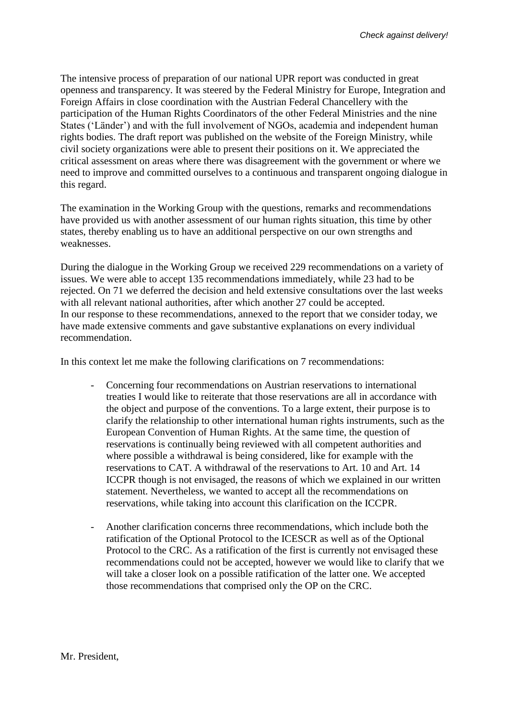The intensive process of preparation of our national UPR report was conducted in great openness and transparency. It was steered by the Federal Ministry for Europe, Integration and Foreign Affairs in close coordination with the Austrian Federal Chancellery with the participation of the Human Rights Coordinators of the other Federal Ministries and the nine States ('Länder') and with the full involvement of NGOs, academia and independent human rights bodies. The draft report was published on the website of the Foreign Ministry, while civil society organizations were able to present their positions on it. We appreciated the critical assessment on areas where there was disagreement with the government or where we need to improve and committed ourselves to a continuous and transparent ongoing dialogue in this regard.

The examination in the Working Group with the questions, remarks and recommendations have provided us with another assessment of our human rights situation, this time by other states, thereby enabling us to have an additional perspective on our own strengths and weaknesses.

During the dialogue in the Working Group we received 229 recommendations on a variety of issues. We were able to accept 135 recommendations immediately, while 23 had to be rejected. On 71 we deferred the decision and held extensive consultations over the last weeks with all relevant national authorities, after which another 27 could be accepted. In our response to these recommendations, annexed to the report that we consider today, we have made extensive comments and gave substantive explanations on every individual recommendation.

In this context let me make the following clarifications on 7 recommendations:

- Concerning four recommendations on Austrian reservations to international treaties I would like to reiterate that those reservations are all in accordance with the object and purpose of the conventions. To a large extent, their purpose is to clarify the relationship to other international human rights instruments, such as the European Convention of Human Rights. At the same time, the question of reservations is continually being reviewed with all competent authorities and where possible a withdrawal is being considered, like for example with the reservations to CAT. A withdrawal of the reservations to Art. 10 and Art. 14 ICCPR though is not envisaged, the reasons of which we explained in our written statement. Nevertheless, we wanted to accept all the recommendations on reservations, while taking into account this clarification on the ICCPR.
- Another clarification concerns three recommendations, which include both the ratification of the Optional Protocol to the ICESCR as well as of the Optional Protocol to the CRC. As a ratification of the first is currently not envisaged these recommendations could not be accepted, however we would like to clarify that we will take a closer look on a possible ratification of the latter one. We accepted those recommendations that comprised only the OP on the CRC.